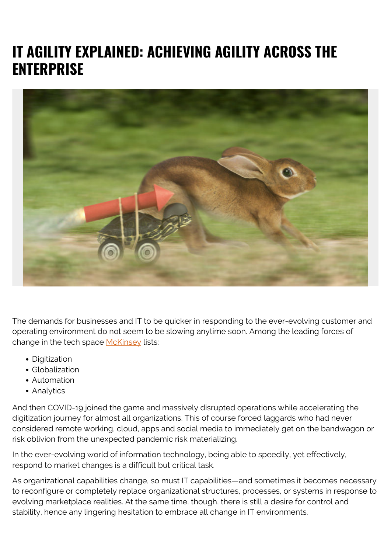# **IT AGILITY EXPLAINED: ACHIEVING AGILITY ACROSS THE ENTERPRISE**



The demands for businesses and IT to be quicker in responding to the ever-evolving customer and operating environment do not seem to be slowing anytime soon. Among the leading forces of change in the tech space [McKinsey](https://www.mckinsey.com/business-functions/organization/our-insights/agility-in-the-time-of-covid-19-changing-your-operating-model-in-an-age-of-turbulence) lists:

- Digitization
- Globalization
- Automation
- Analytics

And then COVID-19 joined the game and massively disrupted operations while accelerating the digitization journey for almost all organizations. This of course forced laggards who had never considered remote working, cloud, apps and social media to immediately get on the bandwagon or risk oblivion from the unexpected pandemic risk materializing.

In the ever-evolving world of information technology, being able to speedily, yet effectively, respond to market changes is a difficult but critical task.

As organizational capabilities change, so must IT capabilities—and sometimes it becomes necessary to reconfigure or completely replace organizational structures, processes, or systems in response to evolving marketplace realities. At the same time, though, there is still a desire for control and stability, hence any lingering hesitation to embrace all change in IT environments.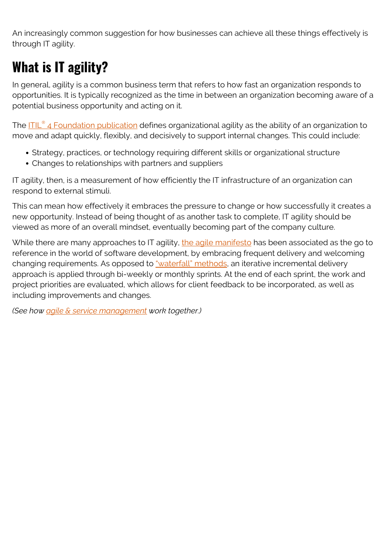An increasingly common suggestion for how businesses can achieve all these things effectively is through IT agility.

## **What is IT agility?**

In general, agility is a common business term that refers to how fast an organization responds to opportunities. It is typically recognized as the time in between an organization becoming aware of a potential business opportunity and acting on it.

The [ITIL](https://blogs.bmc.com/blogs/itil-foundation-study-guide/)<sup>[®](https://blogs.bmc.com/blogs/itil-foundation-study-guide/)</sup> [4 Foundation publication](https://blogs.bmc.com/blogs/itil-foundation-study-guide/) defines organizational agility as the ability of an organization to move and adapt quickly, flexibly, and decisively to support internal changes. This could include:

- Strategy, practices, or technology requiring different skills or organizational structure
- Changes to relationships with partners and suppliers

IT agility, then, is a measurement of how efficiently the IT infrastructure of an organization can respond to external stimuli.

This can mean how effectively it embraces the pressure to change or how successfully it creates a new opportunity. Instead of being thought of as another task to complete, IT agility should be viewed as more of an overall mindset, eventually becoming part of the company culture.

While there are many approaches to IT agility, [the agile manifesto](https://blogs.bmc.com/blogs/devops-vs-agile-whats-the-difference-and-how-are-they-related/) has been associated as the go to reference in the world of software development, by embracing frequent delivery and welcoming changing requirements. As opposed to ["waterfall" methods,](https://blogs.bmc.com/blogs/agile-vs-waterfall/) an iterative incremental delivery approach is applied through bi-weekly or monthly sprints. At the end of each sprint, the work and project priorities are evaluated, which allows for client feedback to be incorporated, as well as including improvements and changes.

*(See how [agile & service management](https://blogs.bmc.com/blogs/agile-service-management/) work together.)*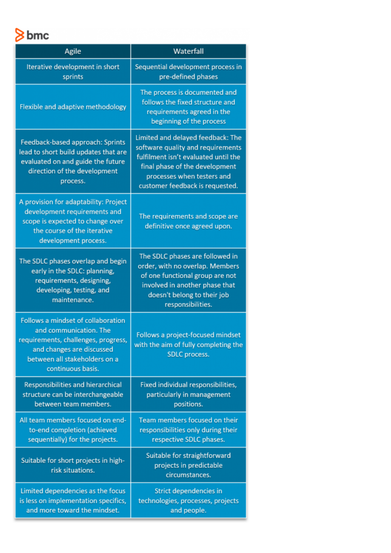| omc                                                                                                                                                                                    |                                                                                                                                                                                                                   |
|----------------------------------------------------------------------------------------------------------------------------------------------------------------------------------------|-------------------------------------------------------------------------------------------------------------------------------------------------------------------------------------------------------------------|
| Agile                                                                                                                                                                                  | Waterfall                                                                                                                                                                                                         |
| Iterative development in short<br>sprints                                                                                                                                              | Sequential development process in<br>pre-defined phases                                                                                                                                                           |
| Flexible and adaptive methodology                                                                                                                                                      | The process is documented and<br>follows the fixed structure and<br>requirements agreed in the<br>beginning of the process                                                                                        |
| Feedback-based approach: Sprints<br>lead to short build updates that are<br>evaluated on and guide the future<br>direction of the development<br>process.                              | Limited and delayed feedback: The<br>software quality and requirements<br>fulfilment isn't evaluated until the<br>final phase of the development<br>processes when testers and<br>customer feedback is requested. |
| A provision for adaptability: Project<br>development requirements and<br>scope is expected to change over<br>the course of the iterative<br>development process.                       | The requirements and scope are<br>definitive once agreed upon.                                                                                                                                                    |
| The SDLC phases overlap and begin<br>early in the SDLC: planning,<br>requirements, designing,<br>developing, testing, and<br>maintenance.                                              | The SDLC phases are followed in<br>order, with no overlap. Members<br>of one functional group are not<br>involved in another phase that<br>doesn't belong to their job<br>responsibilities.                       |
| Follows a mindset of collaboration<br>and communication. The<br>requirements, challenges, progress,<br>and changes are discussed<br>between all stakeholders on a<br>continuous basis. | Follows a project-focused mindset<br>with the aim of fully completing the<br><b>SDLC</b> process.                                                                                                                 |
| Responsibilities and hierarchical<br>structure can be interchangeable<br>between team members.                                                                                         | Fixed individual responsibilities,<br>particularly in management<br>positions.                                                                                                                                    |
| All team members focused on end-<br>to-end completion (achieved<br>sequentially) for the projects.                                                                                     | Team members focused on their<br>responsibilities only during their<br>respective SDLC phases.                                                                                                                    |
| Suitable for short projects in high-<br>risk situations.                                                                                                                               | Suitable for straightforward<br>projects in predictable<br>circumstances.                                                                                                                                         |
| Limited dependencies as the focus<br>is less on implementation specifics,<br>and more toward the mindset.                                                                              | Strict dependencies in<br>technologies, processes, projects<br>and people.                                                                                                                                        |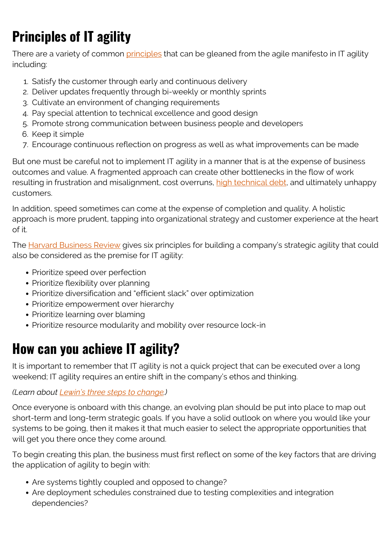# **Principles of IT agility**

There are a variety of common [principles](https://agilemanifesto.org/principles.html) that can be gleaned from the agile manifesto in IT agility including:

- 1. Satisfy the customer through early and continuous delivery
- 2. Deliver updates frequently through bi-weekly or monthly sprints
- 3. Cultivate an environment of changing requirements
- 4. Pay special attention to technical excellence and good design
- 5. Promote strong communication between business people and developers
- 6. Keep it simple
- 7. Encourage continuous reflection on progress as well as what improvements can be made

But one must be careful not to implement IT agility in a manner that is at the expense of business outcomes and value. A fragmented approach can create other bottlenecks in the flow of work resulting in frustration and misalignment, cost overruns, [high technical debt](https://blogs.bmc.com/blogs/technical-debt-explained-the-complete-guide-to-understanding-and-dealing-with-technical-debt/), and ultimately unhappy customers.

In addition, speed sometimes can come at the expense of completion and quality. A holistic approach is more prudent, tapping into organizational strategy and customer experience at the heart of it.

The [Harvard Business Review](https://hbr.org/2021/09/6-principles-to-build-your-companys-strategic-agility) gives six principles for building a company's strategic agility that could also be considered as the premise for IT agility:

- Prioritize speed over perfection
- Prioritize flexibility over planning
- Prioritize diversification and "efficient slack" over optimization
- Prioritize empowerment over hierarchy
- Prioritize learning over blaming
- Prioritize resource modularity and mobility over resource lock-in

### **How can you achieve IT agility?**

It is important to remember that IT agility is not a quick project that can be executed over a long weekend; IT agility requires an entire shift in the company's ethos and thinking.

#### *(Learn about [Lewin's three steps to change](https://blogs.bmc.com/blogs/lewin-three-stage-model-change/).)*

Once everyone is onboard with this change, an evolving plan should be put into place to map out short-term and long-term strategic goals. If you have a solid outlook on where you would like your systems to be going, then it makes it that much easier to select the appropriate opportunities that will get you there once they come around.

To begin creating this plan, the business must first reflect on some of the key factors that are driving the application of agility to begin with:

- Are systems tightly coupled and opposed to change?
- Are deployment schedules constrained due to testing complexities and integration dependencies?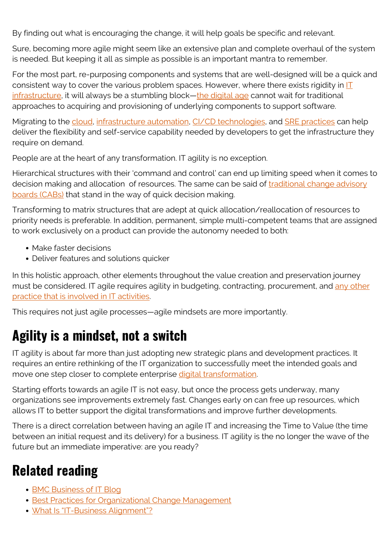By finding out what is encouraging the change, it will help goals be specific and relevant.

Sure, becoming more agile might seem like an extensive plan and complete overhaul of the system is needed. But keeping it all as simple as possible is an important mantra to remember.

For the most part, re-purposing components and systems that are well-designed will be a quick and consistent way to cover the various problem spaces. However, where there exists rigidity in [IT](https://blogs.bmc.com/blogs/what-is-it-infrastructure-and-what-are-its-components/) [infrastructure](https://blogs.bmc.com/blogs/what-is-it-infrastructure-and-what-are-its-components/), it will always be a stumbling block—[the digital age](https://blogs.bmc.com/blogs/fourth-industrial-revolution/) cannot wait for traditional approaches to acquiring and provisioning of underlying components to support software.

Migrating to the [cloud](https://www.bmc.com/blogs/saas-vs-paas-vs-iaas-whats-the-difference-and-how-to-choose/), [infrastructure automation,](https://blogs.bmc.com/blogs/it-infrastructure/) [CI/CD technologies,](https://blogs.bmc.com/blogs/ci-cd-pipeline-setup) and [SRE practices](https://blogs.bmc.com/blogs/sre-site-reliability-engineering/) can help deliver the flexibility and self-service capability needed by developers to get the infrastructure they require on demand.

People are at the heart of any transformation. IT agility is no exception.

Hierarchical structures with their 'command and control' can end up limiting speed when it comes to decision making and allocation of resources. The same can be said of [traditional change advisory](https://blogs.bmc.com/blogs/itil-change-advisory-board-cab/) [boards \(CABs\)](https://blogs.bmc.com/blogs/itil-change-advisory-board-cab/) that stand in the way of quick decision making.

Transforming to matrix structures that are adept at quick allocation/reallocation of resources to priority needs is preferable. In addition, permanent, simple multi-competent teams that are assigned to work exclusively on a product can provide the autonomy needed to both:

- Make faster decisions
- Deliver features and solutions quicker

In this holistic approach, other elements throughout the value creation and preservation journey must be considered. IT agile requires agility in budgeting, contracting, procurement, and [any other](https://blogs.bmc.com/blogs/critical-it-tech-policies/) [practice that is involved in IT activities.](https://blogs.bmc.com/blogs/critical-it-tech-policies/)

This requires not just agile processes—agile mindsets are more importantly.

## **Agility is a mindset, not a switch**

IT agility is about far more than just adopting new strategic plans and development practices. It requires an entire rethinking of the IT organization to successfully meet the intended goals and move one step closer to complete enterprise [digital transformation.](https://blogs.bmc.com/blogs/what-is-digital-transformation/)

Starting efforts towards an agile IT is not easy, but once the process gets underway, many organizations see improvements extremely fast. Changes early on can free up resources, which allows IT to better support the digital transformations and improve further developments.

There is a direct correlation between having an agile IT and increasing the Time to Value (the time between an initial request and its delivery) for a business. IT agility is the no longer the wave of the future but an immediate imperative: are you ready?

## **Related reading**

- [BMC Business of IT Blog](https://blogs.bmc.com/blogs/categories/business-of-it/)
- **[Best Practices for Organizational Change Management](https://blogs.bmc.com/blogs/organizational-change-best-practices)**
- [What Is "IT-Business Alignment"?](https://blogs.bmc.com/blogs/it-business-alignment/)